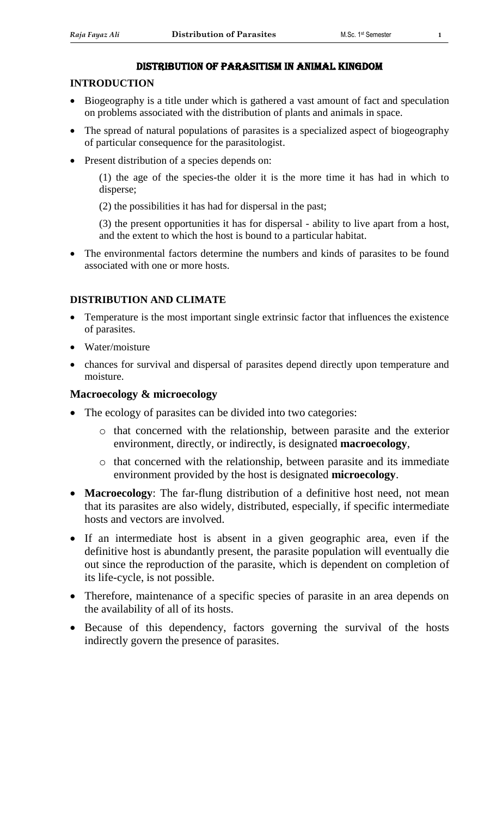# DISTRIBUTION OF PARASITISM IN ANIMAL KINGDOM

# **INTRODUCTION**

- Biogeography is a title under which is gathered a vast amount of fact and speculation on problems associated with the distribution of plants and animals in space.
- The spread of natural populations of parasites is a specialized aspect of biogeography of particular consequence for the parasitologist.
- Present distribution of a species depends on:

(1) the age of the species-the older it is the more time it has had in which to disperse;

(2) the possibilities it has had for dispersal in the past;

(3) the present opportunities it has for dispersal - ability to live apart from a host, and the extent to which the host is bound to a particular habitat.

 The environmental factors determine the numbers and kinds of parasites to be found associated with one or more hosts.

# **DISTRIBUTION AND CLIMATE**

- Temperature is the most important single extrinsic factor that influences the existence of parasites.
- Water/moisture
- chances for survival and dispersal of parasites depend directly upon temperature and moisture.

# **Macroecology & microecology**

- The ecology of parasites can be divided into two categories:
	- o that concerned with the relationship, between parasite and the exterior environment, directly, or indirectly, is designated **macroecology**,
	- o that concerned with the relationship, between parasite and its immediate environment provided by the host is designated **microecology**.
- **Macroecology**: The far-flung distribution of a definitive host need, not mean that its parasites are also widely, distributed, especially, if specific intermediate hosts and vectors are involved.
- If an intermediate host is absent in a given geographic area, even if the definitive host is abundantly present, the parasite population will eventually die out since the reproduction of the parasite, which is dependent on completion of its life-cycle, is not possible.
- Therefore, maintenance of a specific species of parasite in an area depends on the availability of all of its hosts.
- Because of this dependency, factors governing the survival of the hosts indirectly govern the presence of parasites.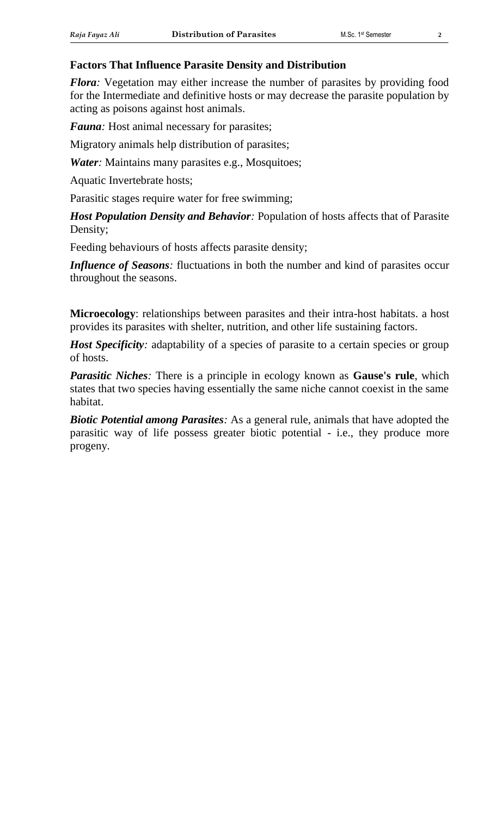# **Factors That Influence Parasite Density and Distribution**

*Flora*: Vegetation may either increase the number of parasites by providing food for the Intermediate and definitive hosts or may decrease the parasite population by acting as poisons against host animals.

*Fauna*: Host animal necessary for parasites;

Migratory animals help distribution of parasites;

*Water*: Maintains many parasites e.g., Mosquitoes;

Aquatic Invertebrate hosts;

Parasitic stages require water for free swimming;

*Host Population Density and Behavior:* Population of hosts affects that of Parasite Density;

Feeding behaviours of hosts affects parasite density;

*Influence of Seasons*: fluctuations in both the number and kind of parasites occur throughout the seasons.

**Microecology**: relationships between parasites and their intra-host habitats. a host provides its parasites with shelter, nutrition, and other life sustaining factors.

*Host Specificity*: adaptability of a species of parasite to a certain species or group of hosts.

*Parasitic Niches:* There is a principle in ecology known as **Gause's rule**, which states that two species having essentially the same niche cannot coexist in the same habitat.

*Biotic Potential among Parasites:* As a general rule, animals that have adopted the parasitic way of life possess greater biotic potential - i.e., they produce more progeny.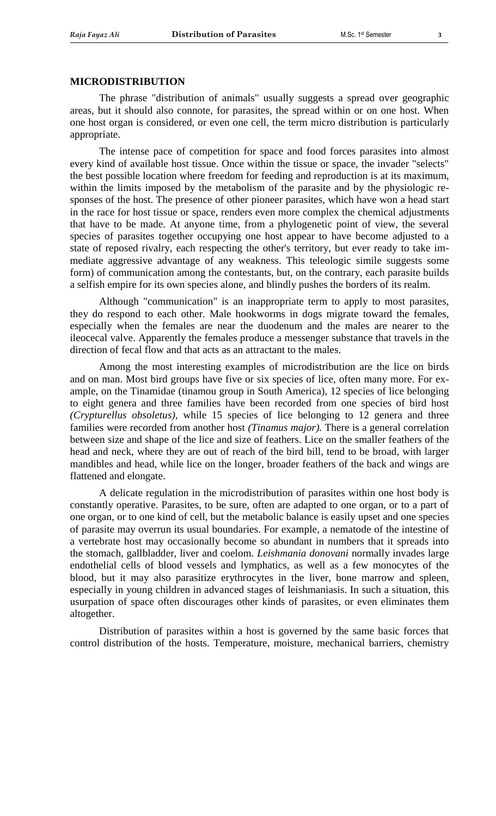#### **MICRODISTRIBUTION**

The phrase "distribution of animals" usually suggests a spread over geographic areas, but it should also connote, for parasites, the spread within or on one host. When one host organ is considered, or even one cell, the term micro distribution is particularly appropriate.

The intense pace of competition for space and food forces parasites into almost every kind of available host tissue. Once within the tissue or space, the invader "selects" the best possible location where freedom for feeding and reproduction is at its maximum, within the limits imposed by the metabolism of the parasite and by the physiologic responses of the host. The presence of other pioneer parasites, which have won a head start in the race for host tissue or space, renders even more complex the chemical adjustments that have to be made. At anyone time, from a phylogenetic point of view, the several species of parasites together occupying one host appear to have become adjusted to a state of reposed rivalry, each respecting the other's territory, but ever ready to take immediate aggressive advantage of any weakness. This teleologic simile suggests some form) of communication among the contestants, but, on the contrary, each parasite builds a selfish empire for its own species alone, and blindly pushes the borders of its realm.

Although "communication" is an inappropriate term to apply to most parasites, they do respond to each other. Male hookworms in dogs migrate toward the females, especially when the females are near the duodenum and the males are nearer to the ileocecal valve. Apparently the females produce a messenger substance that travels in the direction of fecal flow and that acts as an attractant to the males.

Among the most interesting examples of microdistribution are the lice on birds and on man. Most bird groups have five or six species of lice, often many more. For example, on the Tinamidae (tinamou group in South America), 12 species of lice belonging to eight genera and three families have been recorded from one species of bird host *(Crypturellus obsoletus),* while 15 species of lice belonging to 12 genera and three families were recorded from another host *(Tinamus major).* There is a general correlation between size and shape of the lice and size of feathers. Lice on the smaller feathers of the head and neck, where they are out of reach of the bird bill, tend to be broad, with larger mandibles and head, while lice on the longer, broader feathers of the back and wings are flattened and elongate.

A delicate regulation in the microdistribution of parasites within one host body is constantly operative. Parasites, to be sure, often are adapted to one organ, or to a part of one organ, or to one kind of cell, but the metabolic balance is easily upset and one species of parasite may overrun its usual boundaries. For example, a nematode of the intestine of a vertebrate host may occasionally become so abundant in numbers that it spreads into the stomach, gallbladder, liver and coelom. *Leishmania donovani* normally invades large endothelial cells of blood vessels and lymphatics, as well as a few monocytes of the blood, but it may also parasitize erythrocytes in the liver, bone marrow and spleen, especially in young children in advanced stages of leishmaniasis. In such a situation, this usurpation of space often discourages other kinds of parasites, or even eliminates them altogether.

Distribution of parasites within a host is governed by the same basic forces that control distribution of the hosts. Temperature, moisture, mechanical barriers, chemistry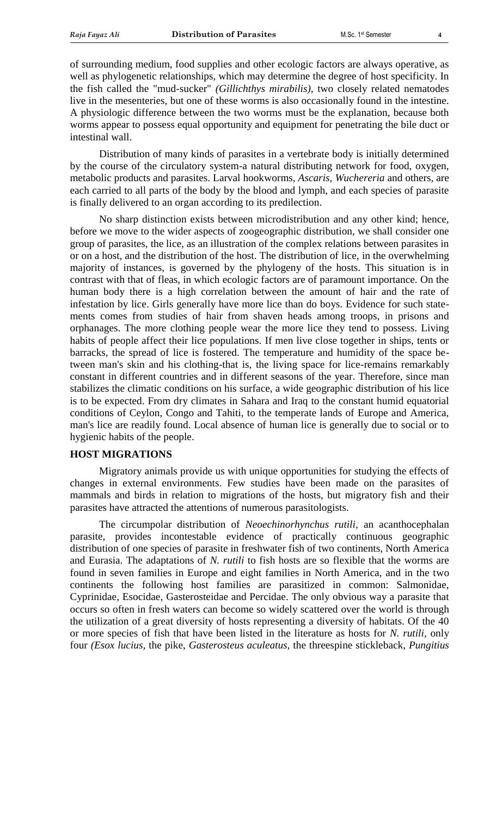of surrounding medium, food supplies and other ecologic factors are always operative, as well as phylogenetic relationships, which may determine the degree of host specificity. In the fish called the "mud-sucker" *(Gillichthys mirabilis),* two closely related nematodes live in the mesenteries, but one of these worms is also occasionally found in the intestine. A physiologic difference between the two worms must be the explanation, because both worms appear to possess equal opportunity and equipment for penetrating the bile duct or intestinal wall.

Distribution of many kinds of parasites in a vertebrate body is initially determined by the course of the circulatory system-a natural distributing network for food, oxygen, metabolic products and parasites. Larval hookworms, *Ascaris, Wuchereria* and others, are each carried to all parts of the body by the blood and lymph, and each species of parasite is finally delivered to an organ according to its predilection.

No sharp distinction exists between microdistribution and any other kind; hence, before we move to the wider aspects of zoogeographic distribution, we shall consider one group of parasites, the lice, as an illustration of the complex relations between parasites in or on a host, and the distribution of the host. The distribution of lice, in the overwhelming majority of instances, is governed by the phylogeny of the hosts. This situation is in contrast with that of fleas, in which ecologic factors are of paramount importance. On the human body there is a high correlation between the amount of hair and the rate of infestation by lice. Girls generally have more lice than do boys. Evidence for such statements comes from studies of hair from shaven heads among troops, in prisons and orphanages. The more clothing people wear the more lice they tend to possess. Living habits of people affect their lice populations. If men live close together in ships, tents or barracks, the spread of lice is fostered. The temperature and humidity of the space between man's skin and his clothing-that is, the living space for lice-remains remarkably constant in different countries and in different seasons of the year. Therefore, since man stabilizes the climatic conditions on his surface, a wide geographic distribution of his lice is to be expected. From dry climates in Sahara and Iraq to the constant humid equatorial conditions of Ceylon, Congo and Tahiti, to the temperate lands of Europe and America, man's lice are readily found. Local absence of human lice is generally due to social or to hygienic habits of the people.

## **HOST MIGRATIONS**

Migratory animals provide us with unique opportunities for studying the effects of changes in external environments. Few studies have been made on the parasites of mammals and birds in relation to migrations of the hosts, but migratory fish and their parasites have attracted the attentions of numerous parasitologists.

The circumpolar distribution of *Neoechinorhynchus rutili,* an acanthocephalan parasite, provides incontestable evidence of practically continuous geographic distribution of one species of parasite in freshwater fish of two continents, North America and Eurasia. The adaptations of *N. rutili* to fish hosts are so flexible that the worms are found in seven families in Europe and eight families in North America, and in the two continents the following host families are parasitized in common: Salmonidae, Cyprinidae, Esocidae, Gasterosteidae and Percidae. The only obvious way a parasite that occurs so often in fresh waters can become so widely scattered over the world is through the utilization of a great diversity of hosts representing a diversity of habitats. Of the 40 or more species of fish that have been listed in the literature as hosts for *N. rutili,* only four *(Esox lucius,* the pike, *Gasterosteus aculeatus,* the threespine stickleback, *Pungitius*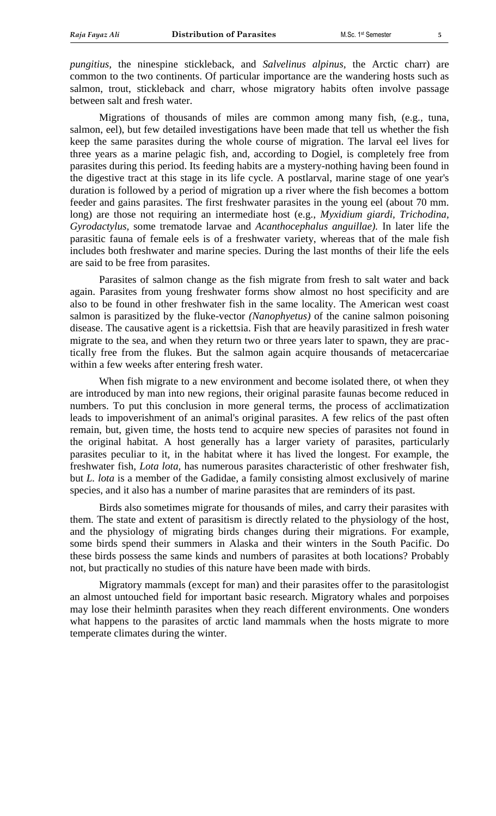*pungitius,* the ninespine stickleback, and *Salvelinus alpinus,* the Arctic charr) are common to the two continents. Of particular importance are the wandering hosts such as salmon, trout, stickleback and charr, whose migratory habits often involve passage between salt and fresh water.

Migrations of thousands of miles are common among many fish, (e.g., tuna, salmon, eel), but few detailed investigations have been made that tell us whether the fish keep the same parasites during the whole course of migration. The larval eel lives for three years as a marine pelagic fish, and, according to Dogiel, is completely free from parasites during this period. Its feeding habits are a mystery-nothing having been found in the digestive tract at this stage in its life cycle. A postlarval, marine stage of one year's duration is followed by a period of migration up a river where the fish becomes a bottom feeder and gains parasites. The first freshwater parasites in the young eel (about 70 mm. long) are those not requiring an intermediate host (e.g., *Myxidium giardi, Trichodina, Gyrodactylus,* some trematode larvae and *Acanthocephalus anguillae).* In later life the parasitic fauna of female eels is of a freshwater variety, whereas that of the male fish includes both freshwater and marine species. During the last months of their life the eels are said to be free from parasites.

Parasites of salmon change as the fish migrate from fresh to salt water and back again. Parasites from young freshwater forms show almost no host specificity and are also to be found in other freshwater fish in the same locality. The American west coast salmon is parasitized by the fluke-vector *(Nanophyetus)* of the canine salmon poisoning disease. The causative agent is a rickettsia. Fish that are heavily parasitized in fresh water migrate to the sea, and when they return two or three years later to spawn, they are practically free from the flukes. But the salmon again acquire thousands of metacercariae within a few weeks after entering fresh water.

When fish migrate to a new environment and become isolated there, ot when they are introduced by man into new regions, their original parasite faunas become reduced in numbers. To put this conclusion in more general terms, the process of acclimatization leads to impoverishment of an animal's original parasites. A few relics of the past often remain, but, given time, the hosts tend to acquire new species of parasites not found in the original habitat. A host generally has a larger variety of parasites, particularly parasites peculiar to it, in the habitat where it has lived the longest. For example, the freshwater fish, *Lota lota,* has numerous parasites characteristic of other freshwater fish, but *L. lota* is a member of the Gadidae, a family consisting almost exclusively of marine species, and it also has a number of marine parasites that are reminders of its past.

Birds also sometimes migrate for thousands of miles, and carry their parasites with them. The state and extent of parasitism is directly related to the physiology of the host, and the physiology of migrating birds changes during their migrations. For example, some birds spend their summers in Alaska and their winters in the South Pacific. Do these birds possess the same kinds and numbers of parasites at both locations? Probably not, but practically no studies of this nature have been made with birds.

Migratory mammals (except for man) and their parasites offer to the parasitologist an almost untouched field for important basic research. Migratory whales and porpoises may lose their helminth parasites when they reach different environments. One wonders what happens to the parasites of arctic land mammals when the hosts migrate to more temperate climates during the winter.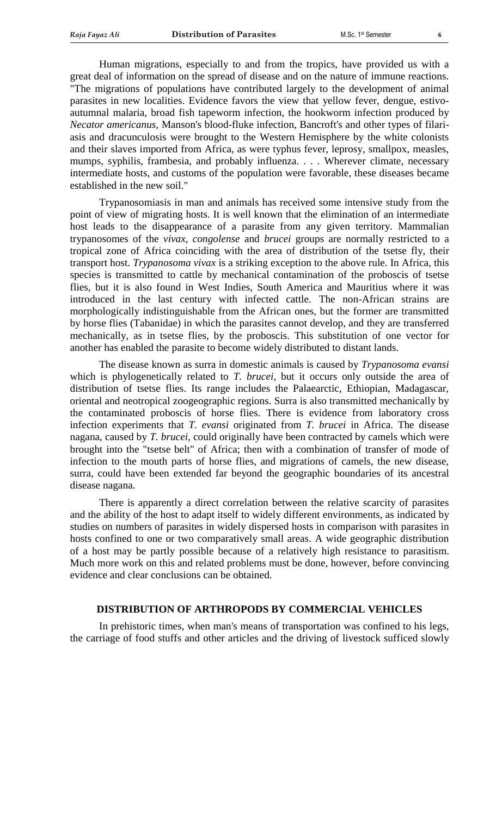Human migrations, especially to and from the tropics, have provided us with a great deal of information on the spread of disease and on the nature of immune reactions. "The migrations of populations have contributed largely to the development of animal parasites in new localities. Evidence favors the view that yellow fever, dengue, estivoautumnal malaria, broad fish tapeworm infection, the hookworm infection produced by *Necator americanus,* Manson's blood-fluke infection, Bancroft's and other types of filariasis and dracunculosis were brought to the Western Hemisphere by the white colonists and their slaves imported from Africa, as were typhus fever, leprosy, smallpox, measles, mumps, syphilis, frambesia, and probably influenza. . . . Wherever climate, necessary intermediate hosts, and customs of the population were favorable, these diseases became established in the new soil."

Trypanosomiasis in man and animals has received some intensive study from the point of view of migrating hosts. It is well known that the elimination of an intermediate host leads to the disappearance of a parasite from any given territory. Mammalian trypanosomes of the *vivax, congolense* and *brucei* groups are normally restricted to a tropical zone of Africa coinciding with the area of distribution of the tsetse fly, their transport host. *Trypanosoma vivax* is a striking exception to the above rule. In Africa, this species is transmitted to cattle by mechanical contamination of the proboscis of tsetse flies, but it is also found in West Indies, South America and Mauritius where it was introduced in the last century with infected cattle. The non-African strains are morphologically indistinguishable from the African ones, but the former are transmitted by horse flies (Tabanidae) in which the parasites cannot develop, and they are transferred mechanically, as in tsetse flies, by the proboscis. This substitution of one vector for another has enabled the parasite to become widely distributed to distant lands.

The disease known as surra in domestic animals is caused by *Trypanosoma evansi*  which is phylogenetically related to *T. brucei,* but it occurs only outside the area of distribution of tsetse flies. Its range includes the Palaearctic, Ethiopian, Madagascar, oriental and neotropical zoogeographic regions. Surra is also transmitted mechanically by the contaminated proboscis of horse flies. There is evidence from laboratory cross infection experiments that *T. evansi* originated from *T. brucei* in Africa. The disease nagana, caused by *T. brucei,* could originally have been contracted by camels which were brought into the "tsetse belt" of Africa; then with a combination of transfer of mode of infection to the mouth parts of horse flies, and migrations of camels, the new disease, surra, could have been extended far beyond the geographic boundaries of its ancestral disease nagana.

There is apparently a direct correlation between the relative scarcity of parasites and the ability of the host to adapt itself to widely different environments, as indicated by studies on numbers of parasites in widely dispersed hosts in comparison with parasites in hosts confined to one or two comparatively small areas. A wide geographic distribution of a host may be partly possible because of a relatively high resistance to parasitism. Much more work on this and related problems must be done, however, before convincing evidence and clear conclusions can be obtained.

## **DISTRIBUTION OF ARTHROPODS BY COMMERCIAL VEHICLES**

In prehistoric times, when man's means of transportation was confined to his legs, the carriage of food stuffs and other articles and the driving of livestock sufficed slowly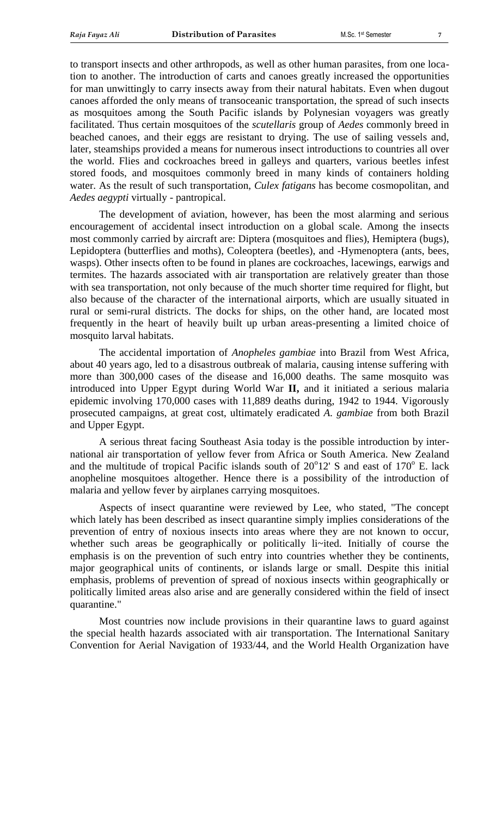to transport insects and other arthropods, as well as other human parasites, from one location to another. The introduction of carts and canoes greatly increased the opportunities for man unwittingly to carry insects away from their natural habitats. Even when dugout canoes afforded the only means of transoceanic transportation, the spread of such insects as mosquitoes among the South Pacific islands by Polynesian voyagers was greatly facilitated. Thus certain mosquitoes of the *scutellaris* group of *Aedes* commonly breed in beached canoes, and their eggs are resistant to drying. The use of sailing vessels and, later, steamships provided a means for numerous insect introductions to countries all over the world. Flies and cockroaches breed in galleys and quarters, various beetles infest stored foods, and mosquitoes commonly breed in many kinds of containers holding water. As the result of such transportation, *Culex fatigans* has become cosmopolitan, and *Aedes aegypti* virtually - pantropical.

The development of aviation, however, has been the most alarming and serious encouragement of accidental insect introduction on a global scale. Among the insects most commonly carried by aircraft are: Diptera (mosquitoes and flies), Hemiptera (bugs), Lepidoptera (butterflies and moths), Coleoptera (beetles), and -Hymenoptera (ants, bees, wasps). Other insects often to be found in planes are cockroaches, lacewings, earwigs and termites. The hazards associated with air transportation are relatively greater than those with sea transportation, not only because of the much shorter time required for flight, but also because of the character of the international airports, which are usually situated in rural or semi-rural districts. The docks for ships, on the other hand, are located most frequently in the heart of heavily built up urban areas-presenting a limited choice of mosquito larval habitats.

The accidental importation of *Anopheles gambiae* into Brazil from West Africa, about 40 years ago, led to a disastrous outbreak of malaria, causing intense suffering with more than 300,000 cases of the disease and 16,000 deaths. The same mosquito was introduced into Upper Egypt during World War **II,** and it initiated a serious malaria epidemic involving 170,000 cases with 11,889 deaths during, 1942 to 1944. Vigorously prosecuted campaigns, at great cost, ultimately eradicated *A. gambiae* from both Brazil and Upper Egypt.

A serious threat facing Southeast Asia today is the possible introduction by international air transportation of yellow fever from Africa or South America. New Zealand and the multitude of tropical Pacific islands south of  $20^{\circ}12'$  S and east of  $170^{\circ}$  E. lack anopheline mosquitoes altogether. Hence there is a possibility of the introduction of malaria and yellow fever by airplanes carrying mosquitoes.

Aspects of insect quarantine were reviewed by Lee, who stated, "The concept which lately has been described as insect quarantine simply implies considerations of the prevention of entry of noxious insects into areas where they are not known to occur, whether such areas be geographically or politically li-ited. Initially of course the emphasis is on the prevention of such entry into countries whether they be continents, major geographical units of continents, or islands large or small. Despite this initial emphasis, problems of prevention of spread of noxious insects within geographically or politically limited areas also arise and are generally considered within the field of insect quarantine."

Most countries now include provisions in their quarantine laws to guard against the special health hazards associated with air transportation. The International Sanitary Convention for Aerial Navigation of 1933/44, and the World Health Organization have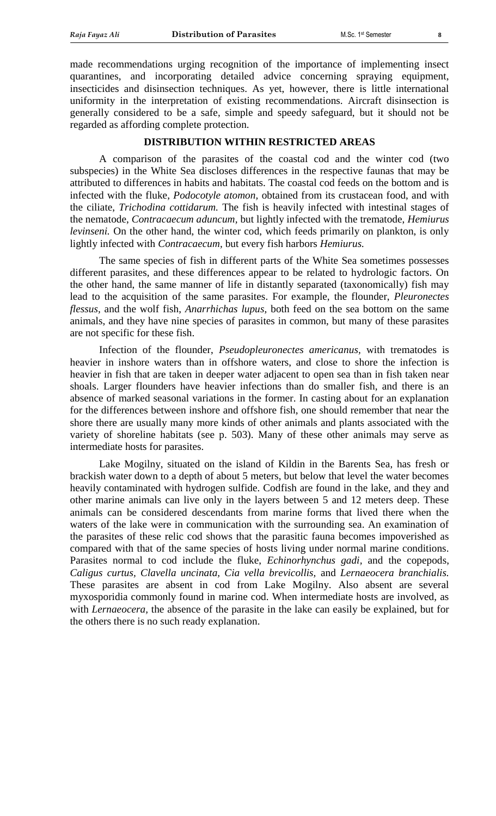made recommendations urging recognition of the importance of implementing insect quarantines, and incorporating detailed advice concerning spraying equipment, insecticides and disinsection techniques. As yet, however, there is little international uniformity in the interpretation of existing recommendations. Aircraft disinsection is generally considered to be a safe, simple and speedy safeguard, but it should not be regarded as affording complete protection.

### **DISTRIBUTION WITHIN RESTRICTED AREAS**

A comparison of the parasites of the coastal cod and the winter cod (two subspecies) in the White Sea discloses differences in the respective faunas that may be attributed to differences in habits and habitats. The coastal cod feeds on the bottom and is infected with the fluke, *Podocotyle atomon,* obtained from its crustacean food, and with the ciliate, *Trichodina cottidarum.* The fish is heavily infected with intestinal stages of the nematode, *Contracaecum aduncum,* but lightly infected with the trematode, *Hemiurus levinseni*. On the other hand, the winter cod, which feeds primarily on plankton, is only lightly infected with *Contracaecum,* but every fish harbors *Hemiurus.*

The same species of fish in different parts of the White Sea sometimes possesses different parasites, and these differences appear to be related to hydrologic factors. On the other hand, the same manner of life in distantly separated (taxonomically) fish may lead to the acquisition of the same parasites. For example, the flounder, *Pleuronectes flessus,* and the wolf fish, *Anarrhichas lupus,* both feed on the sea bottom on the same animals, and they have nine species of parasites in common, but many of these parasites are not specific for these fish.

Infection of the flounder, *Pseudopleuronectes americanus,* with trematodes is heavier in inshore waters than in offshore waters, and close to shore the infection is heavier in fish that are taken in deeper water adjacent to open sea than in fish taken near shoals. Larger flounders have heavier infections than do smaller fish, and there is an absence of marked seasonal variations in the former. In casting about for an explanation for the differences between inshore and offshore fish, one should remember that near the shore there are usually many more kinds of other animals and plants associated with the variety of shoreline habitats (see p. 503). Many of these other animals may serve as intermediate hosts for parasites.

Lake Mogilny, situated on the island of Kildin in the Barents Sea, has fresh or brackish water down to a depth of about 5 meters, but below that level the water becomes heavily contaminated with hydrogen sulfide. Codfish are found in the lake, and they and other marine animals can live only in the layers between 5 and 12 meters deep. These animals can be considered descendants from marine forms that lived there when the waters of the lake were in communication with the surrounding sea. An examination of the parasites of these relic cod shows that the parasitic fauna becomes impoverished as compared with that of the same species of hosts living under normal marine conditions. Parasites normal to cod include the fluke, *Echinorhynchus gadi,* and the copepods, *Caligus curtus, Clavella uncinata, Cia vella brevicollis,* and *Lernaeocera branchialis.*  These parasites are absent in cod from Lake Mogilny. Also absent are several myxosporidia commonly found in marine cod. When intermediate hosts are involved, as with *Lernaeocera,* the absence of the parasite in the lake can easily be explained, but for the others there is no such ready explanation.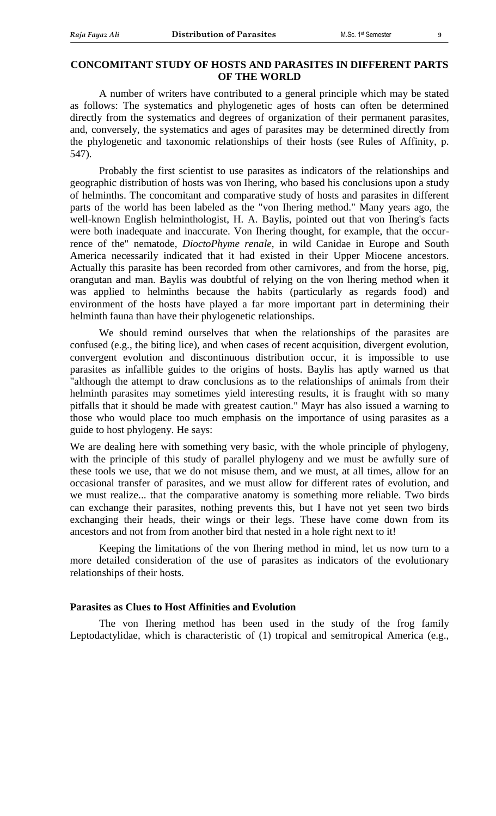## **CONCOMITANT STUDY OF HOSTS AND PARASITES IN DIFFERENT PARTS OF THE WORLD**

A number of writers have contributed to a general principle which may be stated as follows: The systematics and phylogenetic ages of hosts can often be determined directly from the systematics and degrees of organization of their permanent parasites, and, conversely, the systematics and ages of parasites may be determined directly from the phylogenetic and taxonomic relationships of their hosts (see Rules of Affinity, p. 547).

Probably the first scientist to use parasites as indicators of the relationships and geographic distribution of hosts was von Ihering, who based his conclusions upon a study of helminths. The concomitant and comparative study of hosts and parasites in different parts of the world has been labeled as the "von Ihering method." Many years ago, the well-known English helminthologist, H. A. Baylis, pointed out that von Ihering's facts were both inadequate and inaccurate. Von Ihering thought, for example, that the occurrence of the" nematode, *DioctoPhyme renale,* in wild Canidae in Europe and South America necessarily indicated that it had existed in their Upper Miocene ancestors. Actually this parasite has been recorded from other carnivores, and from the horse, pig, orangutan and man. Baylis was doubtful of relying on the von lhering method when it was applied to helminths because the habits (particularly as regards food) and environment of the hosts have played a far more important part in determining their helminth fauna than have their phylogenetic relationships.

We should remind ourselves that when the relationships of the parasites are confused (e.g., the biting lice), and when cases of recent acquisition, divergent evolution, convergent evolution and discontinuous distribution occur, it is impossible to use parasites as infallible guides to the origins of hosts. Baylis has aptly warned us that "although the attempt to draw conclusions as to the relationships of animals from their helminth parasites may sometimes yield interesting results, it is fraught with so many pitfalls that it should be made with greatest caution." Mayr has also issued a warning to those who would place too much emphasis on the importance of using parasites as a guide to host phylogeny. He says:

We are dealing here with something very basic, with the whole principle of phylogeny, with the principle of this study of parallel phylogeny and we must be awfully sure of these tools we use, that we do not misuse them, and we must, at all times, allow for an occasional transfer of parasites, and we must allow for different rates of evolution, and we must realize... that the comparative anatomy is something more reliable. Two birds can exchange their parasites, nothing prevents this, but I have not yet seen two birds exchanging their heads, their wings or their legs. These have come down from its ancestors and not from from another bird that nested in a hole right next to it!

Keeping the limitations of the von Ihering method in mind, let us now turn to a more detailed consideration of the use of parasites as indicators of the evolutionary relationships of their hosts.

#### **Parasites as Clues to Host Affinities and Evolution**

The von Ihering method has been used in the study of the frog family Leptodactylidae, which is characteristic of (1) tropical and semitropical America (e.g.,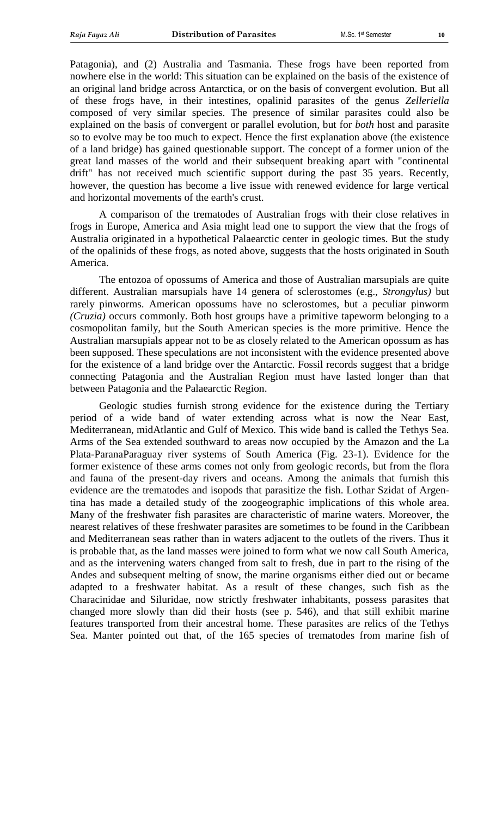Patagonia), and (2) Australia and Tasmania. These frogs have been reported from nowhere else in the world: This situation can be explained on the basis of the existence of an original land bridge across Antarctica, or on the basis of convergent evolution. But all of these frogs have, in their intestines, opalinid parasites of the genus *Zelleriella*  composed of very similar species. The presence of similar parasites could also be explained on the basis of convergent or parallel evolution, but for *both* host and parasite so to evolve may be too much to expect. Hence the first explanation above (the existence of a land bridge) has gained questionable support. The concept of a former union of the great land masses of the world and their subsequent breaking apart with "continental drift" has not received much scientific support during the past 35 years. Recently, however, the question has become a live issue with renewed evidence for large vertical and horizontal movements of the earth's crust.

A comparison of the trematodes of Australian frogs with their close relatives in frogs in Europe, America and Asia might lead one to support the view that the frogs of Australia originated in a hypothetical Palaearctic center in geologic times. But the study of the opalinids of these frogs, as noted above, suggests that the hosts originated in South America.

The entozoa of opossums of America and those of Australian marsupials are quite different. Australian marsupials have 14 genera of sclerostomes (e.g., *Strongylus)* but rarely pinworms. American opossums have no sclerostomes, but a peculiar pinworm *(Cruzia)* occurs commonly. Both host groups have a primitive tapeworm belonging to a cosmopolitan family, but the South American species is the more primitive. Hence the Australian marsupials appear not to be as closely related to the American opossum as has been supposed. These speculations are not inconsistent with the evidence presented above for the existence of a land bridge over the Antarctic. Fossil records suggest that a bridge connecting Patagonia and the Australian Region must have lasted longer than that between Patagonia and the Palaearctic Region.

Geologic studies furnish strong evidence for the existence during the Tertiary period of a wide band of water extending across what is now the Near East, Mediterranean, midAtlantic and Gulf of Mexico. This wide band is called the Tethys Sea. Arms of the Sea extended southward to areas now occupied by the Amazon and the La Plata-ParanaParaguay river systems of South America (Fig. 23-1). Evidence for the former existence of these arms comes not only from geologic records, but from the flora and fauna of the present-day rivers and oceans. Among the animals that furnish this evidence are the trematodes and isopods that parasitize the fish. Lothar Szidat of Argentina has made a detailed study of the zoogeographic implications of this whole area. Many of the freshwater fish parasites are characteristic of marine waters. Moreover, the nearest relatives of these freshwater parasites are sometimes to be found in the Caribbean and Mediterranean seas rather than in waters adjacent to the outlets of the rivers. Thus it is probable that, as the land masses were joined to form what we now call South America, and as the intervening waters changed from salt to fresh, due in part to the rising of the Andes and subsequent melting of snow, the marine organisms either died out or became adapted to a freshwater habitat. As a result of these changes, such fish as the Characinidae and Siluridae, now strictly freshwater inhabitants, possess parasites that changed more slowly than did their hosts (see p. 546), and that still exhibit marine features transported from their ancestral home. These parasites are relics of the Tethys Sea. Manter pointed out that, of the 165 species of trematodes from marine fish of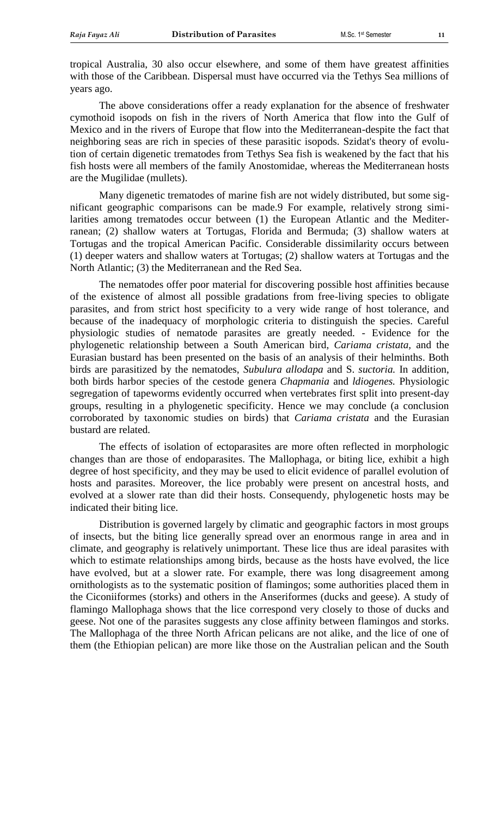tropical Australia, 30 also occur elsewhere, and some of them have greatest affinities with those of the Caribbean. Dispersal must have occurred via the Tethys Sea millions of years ago.

The above considerations offer a ready explanation for the absence of freshwater cymothoid isopods on fish in the rivers of North America that flow into the Gulf of Mexico and in the rivers of Europe that flow into the Mediterranean-despite the fact that neighboring seas are rich in species of these parasitic isopods. Szidat's theory of evolution of certain digenetic trematodes from Tethys Sea fish is weakened by the fact that his fish hosts were all members of the family Anostomidae, whereas the Mediterranean hosts are the Mugilidae (mullets).

Many digenetic trematodes of marine fish are not widely distributed, but some significant geographic comparisons can be made.9 For example, relatively strong similarities among trematodes occur between (1) the European Atlantic and the Mediterranean; (2) shallow waters at Tortugas, Florida and Bermuda; (3) shallow waters at Tortugas and the tropical American Pacific. Considerable dissimilarity occurs between (1) deeper waters and shallow waters at Tortugas; (2) shallow waters at Tortugas and the North Atlantic; (3) the Mediterranean and the Red Sea.

The nematodes offer poor material for discovering possible host affinities because of the existence of almost all possible gradations from free-living species to obligate parasites, and from strict host specificity to a very wide range of host tolerance, and because of the inadequacy of morphologic criteria to distinguish the species. Careful physiologic studies of nematode parasites are greatly needed. - Evidence for the phylogenetic relationship between a South American bird, *Cariama cristata,* and the Eurasian bustard has been presented on the basis of an analysis of their helminths. Both birds are parasitized by the nematodes, *Subulura allodapa* and S. *suctoria.* In addition, both birds harbor species of the cestode genera *Chapmania* and *ldiogenes.* Physiologic segregation of tapeworms evidently occurred when vertebrates first split into present-day groups, resulting in a phylogenetic specificity. Hence we may conclude (a conclusion corroborated by taxonomic studies on birds) that *Cariama cristata* and the Eurasian bustard are related.

The effects of isolation of ectoparasites are more often reflected in morphologic changes than are those of endoparasites. The Mallophaga, or biting lice, exhibit a high degree of host specificity, and they may be used to elicit evidence of parallel evolution of hosts and parasites. Moreover, the lice probably were present on ancestral hosts, and evolved at a slower rate than did their hosts. Consequendy, phylogenetic hosts may be indicated their biting lice.

Distribution is governed largely by climatic and geographic factors in most groups of insects, but the biting lice generally spread over an enormous range in area and in climate, and geography is relatively unimportant. These lice thus are ideal parasites with which to estimate relationships among birds, because as the hosts have evolved, the lice have evolved, but at a slower rate. For example, there was long disagreement among ornithologists as to the systematic position of flamingos; some authorities placed them in the Ciconiiformes (storks) and others in the Anseriformes (ducks and geese). A study of flamingo Mallophaga shows that the lice correspond very closely to those of ducks and geese. Not one of the parasites suggests any close affinity between flamingos and storks. The Mallophaga of the three North African pelicans are not alike, and the lice of one of them (the Ethiopian pelican) are more like those on the Australian pelican and the South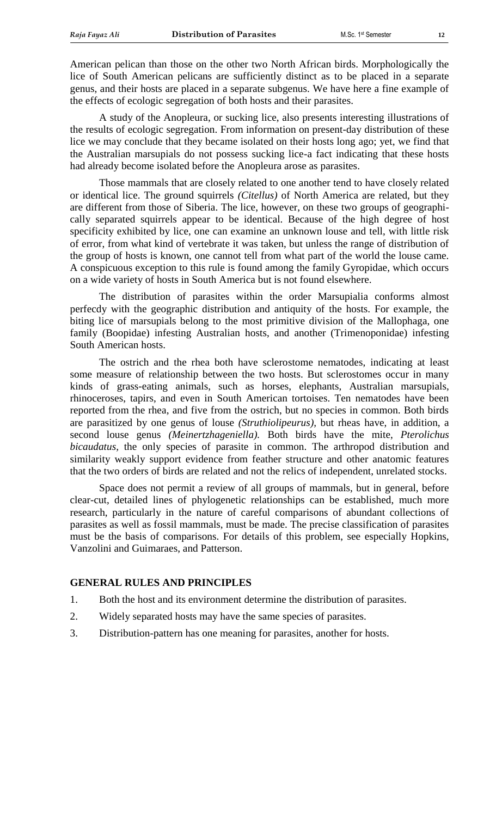American pelican than those on the other two North African birds. Morphologically the lice of South American pelicans are sufficiently distinct as to be placed in a separate genus, and their hosts are placed in a separate subgenus. We have here a fine example of the effects of ecologic segregation of both hosts and their parasites.

A study of the Anopleura, or sucking lice, also presents interesting illustrations of the results of ecologic segregation. From information on present-day distribution of these lice we may conclude that they became isolated on their hosts long ago; yet, we find that the Australian marsupials do not possess sucking lice-a fact indicating that these hosts had already become isolated before the Anopleura arose as parasites.

Those mammals that are closely related to one another tend to have closely related or identical lice. The ground squirrels *(Citellus)* of North America are related, but they are different from those of Siberia. The lice, however, on these two groups of geographically separated squirrels appear to be identical. Because of the high degree of host specificity exhibited by lice, one can examine an unknown louse and tell, with little risk of error, from what kind of vertebrate it was taken, but unless the range of distribution of the group of hosts is known, one cannot tell from what part of the world the louse came. A conspicuous exception to this rule is found among the family Gyropidae, which occurs on a wide variety of hosts in South America but is not found elsewhere.

The distribution of parasites within the order Marsupialia conforms almost perfecdy with the geographic distribution and antiquity of the hosts. For example, the biting lice of marsupials belong to the most primitive division of the Mallophaga, one family (Boopidae) infesting Australian hosts, and another (Trimenoponidae) infesting South American hosts.

The ostrich and the rhea both have sclerostome nematodes, indicating at least some measure of relationship between the two hosts. But sclerostomes occur in many kinds of grass-eating animals, such as horses, elephants, Australian marsupials, rhinoceroses, tapirs, and even in South American tortoises. Ten nematodes have been reported from the rhea, and five from the ostrich, but no species in common. Both birds are parasitized by one genus of louse *(Struthiolipeurus),* but rheas have, in addition, a second louse genus *(Meinertzhageniella).* Both birds have the mite, *Pterolichus bicaudatus,* the only species of parasite in common. The arthropod distribution and similarity weakly support evidence from feather structure and other anatomic features that the two orders of birds are related and not the relics of independent, unrelated stocks.

Space does not permit a review of all groups of mammals, but in general, before clear-cut, detailed lines of phylogenetic relationships can be established, much more research, particularly in the nature of careful comparisons of abundant collections of parasites as well as fossil mammals, must be made. The precise classification of parasites must be the basis of comparisons. For details of this problem, see especially Hopkins, Vanzolini and Guimaraes, and Patterson.

#### **GENERAL RULES AND PRINCIPLES**

- 1. Both the host and its environment determine the distribution of parasites.
- 2. Widely separated hosts may have the same species of parasites.
- 3. Distribution-pattern has one meaning for parasites, another for hosts.